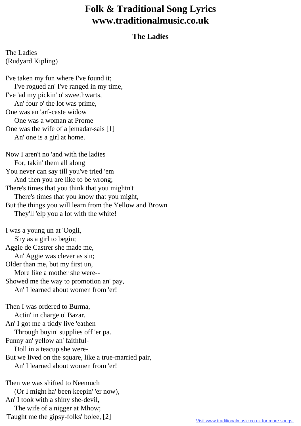## **Folk & Traditional Song Lyrics www.traditionalmusic.co.uk**

## **The Ladies**

The Ladies (Rudyard Kipling)

I've taken my fun where I've found it; I've rogued an' I've ranged in my time, I've 'ad my pickin' o' sweethwarts, An' four o' the lot was prime, One was an 'arf-caste widow One was a woman at Prome One was the wife of a jemadar-sais [1] An' one is a girl at home.

Now I aren't no 'and with the ladies For, takin' them all along You never can say till you've tried 'em And then you are like to be wrong; There's times that you think that you mightn't There's times that you know that you might, But the things you will learn from the Yellow and Brown They'll 'elp you a lot with the white!

I was a young un at 'Oogli, Shy as a girl to begin; Aggie de Castrer she made me, An' Aggie was clever as sin; Older than me, but my first un, More like a mother she were-- Showed me the way to promotion an' pay, An' I learned about women from 'er!

Then I was ordered to Burma, Actin' in charge o' Bazar, An' I got me a tiddy live 'eathen Through buyin' supplies off 'er pa. Funny an' yellow an' faithful- Doll in a teacup she were-But we lived on the square, like a true-married pair, An' I learned about women from 'er! Then we was shifted to Neemuch (Or I might ha' been keepin' 'er now),

An' I took with a shiny she-devil,

The wife of a nigger at Mhow;

'Taught me the gipsy-folks' bolee, [2]